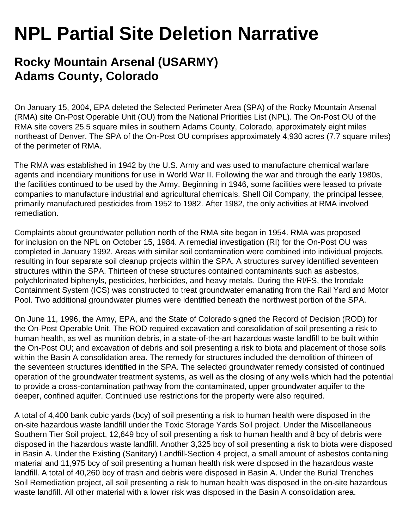## **NPL Partial Site Deletion Narrative**

## **Rocky Mountain Arsenal (USARMY) Adams County, Colorado**

On January 15, 2004, EPA deleted the Selected Perimeter Area (SPA) of the Rocky Mountain Arsenal (RMA) site On-Post Operable Unit (OU) from the National Priorities List (NPL). The On-Post OU of the RMA site covers 25.5 square miles in southern Adams County, Colorado, approximately eight miles northeast of Denver. The SPA of the On-Post OU comprises approximately 4,930 acres (7.7 square miles) of the perimeter of RMA.

The RMA was established in 1942 by the U.S. Army and was used to manufacture chemical warfare agents and incendiary munitions for use in World War II. Following the war and through the early 1980s, the facilities continued to be used by the Army. Beginning in 1946, some facilities were leased to private companies to manufacture industrial and agricultural chemicals. Shell Oil Company, the principal lessee, primarily manufactured pesticides from 1952 to 1982. After 1982, the only activities at RMA involved remediation.

Complaints about groundwater pollution north of the RMA site began in 1954. RMA was proposed for inclusion on the NPL on October 15, 1984. A remedial investigation (RI) for the On-Post OU was completed in January 1992. Areas with similar soil contamination were combined into individual projects, resulting in four separate soil cleanup projects within the SPA. A structures survey identified seventeen structures within the SPA. Thirteen of these structures contained contaminants such as asbestos, polychlorinated biphenyls, pesticides, herbicides, and heavy metals. During the RI/FS, the Irondale Containment System (ICS) was constructed to treat groundwater emanating from the Rail Yard and Motor Pool. Two additional groundwater plumes were identified beneath the northwest portion of the SPA.

On June 11, 1996, the Army, EPA, and the State of Colorado signed the Record of Decision (ROD) for the On-Post Operable Unit. The ROD required excavation and consolidation of soil presenting a risk to human health, as well as munition debris, in a state-of-the-art hazardous waste landfill to be built within the On-Post OU; and excavation of debris and soil presenting a risk to biota and placement of those soils within the Basin A consolidation area. The remedy for structures included the demolition of thirteen of the seventeen structures identified in the SPA. The selected groundwater remedy consisted of continued operation of the groundwater treatment systems, as well as the closing of any wells which had the potential to provide a cross-contamination pathway from the contaminated, upper groundwater aquifer to the deeper, confined aquifer. Continued use restrictions for the property were also required.

A total of 4,400 bank cubic yards (bcy) of soil presenting a risk to human health were disposed in the on-site hazardous waste landfill under the Toxic Storage Yards Soil project. Under the Miscellaneous Southern Tier Soil project, 12,649 bcy of soil presenting a risk to human health and 8 bcy of debris were disposed in the hazardous waste landfill. Another 3,325 bcy of soil presenting a risk to biota were disposed in Basin A. Under the Existing (Sanitary) Landfill-Section 4 project, a small amount of asbestos containing material and 11,975 bcy of soil presenting a human health risk were disposed in the hazardous waste landfill. A total of 40,260 bcy of trash and debris were disposed in Basin A. Under the Burial Trenches Soil Remediation project, all soil presenting a risk to human health was disposed in the on-site hazardous waste landfill. All other material with a lower risk was disposed in the Basin A consolidation area.